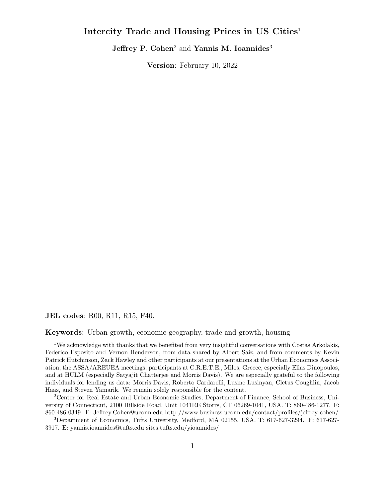## **Intercity Trade and Housing Prices in US Cities**<sup>1</sup>

**Jeffrey P. Cohen**<sup>2</sup> and **Yannis M. Ioannides**<sup>3</sup>

**Version**: February 10, 2022

**JEL codes**: R00, R11, R15, F40.

**Keywords:** Urban growth, economic geography, trade and growth, housing

<sup>1</sup>We acknowledge with thanks that we benefited from very insightful conversations with Costas Arkolakis, Federico Esposito and Vernon Henderson, from data shared by Albert Saiz, and from comments by Kevin Patrick Hutchinson, Zack Hawley and other participants at our presentations at the Urban Economics Association, the ASSA/AREUEA meetings, participants at C.R.E.T.E., Milos, Greece, especially Elias Dinopoulos, and at HULM (especially Satyajit Chatterjee and Morris Davis). We are especially grateful to the following individuals for lending us data: Morris Davis, Roberto Cardarelli, Lusine Lusinyan, Cletus Coughlin, Jacob Haas, and Steven Yamarik. We remain solely responsible for the content.

<sup>2</sup>Center for Real Estate and Urban Economic Studies, Department of Finance, School of Business, University of Connecticut, 2100 Hillside Road, Unit 1041RE Storrs, CT 06269-1041, USA. T: 860-486-1277. F: 860-486-0349. E: Jeffrey.Cohen@uconn.edu http://www.business.uconn.edu/contact/profiles/jeffrey-cohen/

<sup>3</sup>Department of Economics, Tufts University, Medford, MA 02155, USA. T: 617-627-3294. F: 617-627- 3917. E: yannis.ioannides@tufts.edu sites.tufts.edu/yioannides/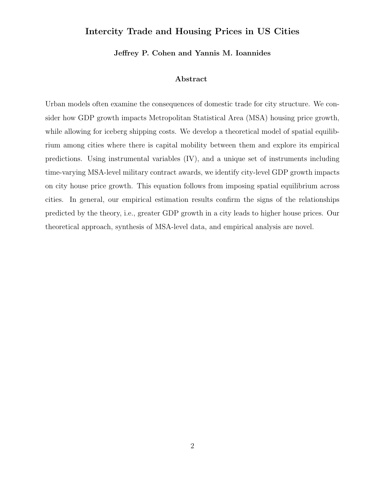## **Intercity Trade and Housing Prices in US Cities**

**Jeffrey P. Cohen and Yannis M. Ioannides**

#### **Abstract**

Urban models often examine the consequences of domestic trade for city structure. We consider how GDP growth impacts Metropolitan Statistical Area (MSA) housing price growth, while allowing for iceberg shipping costs. We develop a theoretical model of spatial equilibrium among cities where there is capital mobility between them and explore its empirical predictions. Using instrumental variables (IV), and a unique set of instruments including time-varying MSA-level military contract awards, we identify city-level GDP growth impacts on city house price growth. This equation follows from imposing spatial equilibrium across cities. In general, our empirical estimation results confirm the signs of the relationships predicted by the theory, i.e., greater GDP growth in a city leads to higher house prices. Our theoretical approach, synthesis of MSA-level data, and empirical analysis are novel.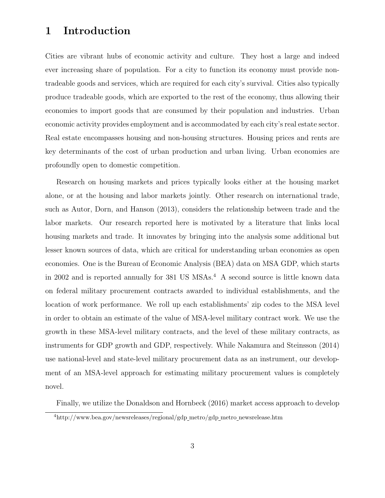# **1 Introduction**

Cities are vibrant hubs of economic activity and culture. They host a large and indeed ever increasing share of population. For a city to function its economy must provide nontradeable goods and services, which are required for each city's survival. Cities also typically produce tradeable goods, which are exported to the rest of the economy, thus allowing their economies to import goods that are consumed by their population and industries. Urban economic activity provides employment and is accommodated by each city's real estate sector. Real estate encompasses housing and non-housing structures. Housing prices and rents are key determinants of the cost of urban production and urban living. Urban economies are profoundly open to domestic competition.

Research on housing markets and prices typically looks either at the housing market alone, or at the housing and labor markets jointly. Other research on international trade, such as Autor, Dorn, and Hanson (2013), considers the relationship between trade and the labor markets. Our research reported here is motivated by a literature that links local housing markets and trade. It innovates by bringing into the analysis some additional but lesser known sources of data, which are critical for understanding urban economies as open economies. One is the Bureau of Economic Analysis (BEA) data on MSA GDP, which starts in 2002 and is reported annually for 381 US MSAs.<sup>4</sup> A second source is little known data on federal military procurement contracts awarded to individual establishments, and the location of work performance. We roll up each establishments' zip codes to the MSA level in order to obtain an estimate of the value of MSA-level military contract work. We use the growth in these MSA-level military contracts, and the level of these military contracts, as instruments for GDP growth and GDP, respectively. While Nakamura and Steinsson (2014) use national-level and state-level military procurement data as an instrument, our development of an MSA-level approach for estimating military procurement values is completely novel.

Finally, we utilize the Donaldson and Hornbeck (2016) market access approach to develop

<sup>4</sup>http://www.bea.gov/newsreleases/regional/gdp metro/gdp metro newsrelease.htm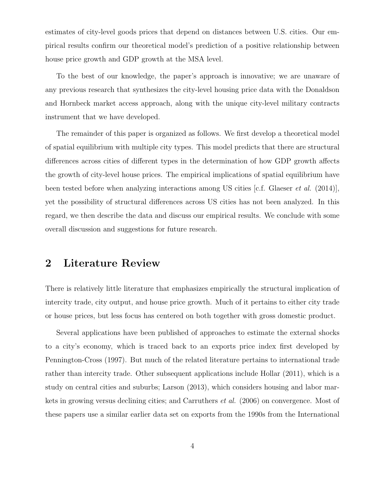estimates of city-level goods prices that depend on distances between U.S. cities. Our empirical results confirm our theoretical model's prediction of a positive relationship between house price growth and GDP growth at the MSA level.

To the best of our knowledge, the paper's approach is innovative; we are unaware of any previous research that synthesizes the city-level housing price data with the Donaldson and Hornbeck market access approach, along with the unique city-level military contracts instrument that we have developed.

The remainder of this paper is organized as follows. We first develop a theoretical model of spatial equilibrium with multiple city types. This model predicts that there are structural differences across cities of different types in the determination of how GDP growth affects the growth of city-level house prices. The empirical implications of spatial equilibrium have been tested before when analyzing interactions among US cities [c.f. Glaeser *et al.* (2014)], yet the possibility of structural differences across US cities has not been analyzed. In this regard, we then describe the data and discuss our empirical results. We conclude with some overall discussion and suggestions for future research.

## **2 Literature Review**

There is relatively little literature that emphasizes empirically the structural implication of intercity trade, city output, and house price growth. Much of it pertains to either city trade or house prices, but less focus has centered on both together with gross domestic product.

Several applications have been published of approaches to estimate the external shocks to a city's economy, which is traced back to an exports price index first developed by Pennington-Cross (1997). But much of the related literature pertains to international trade rather than intercity trade. Other subsequent applications include Hollar (2011), which is a study on central cities and suburbs; Larson (2013), which considers housing and labor markets in growing versus declining cities; and Carruthers *et al.* (2006) on convergence. Most of these papers use a similar earlier data set on exports from the 1990s from the International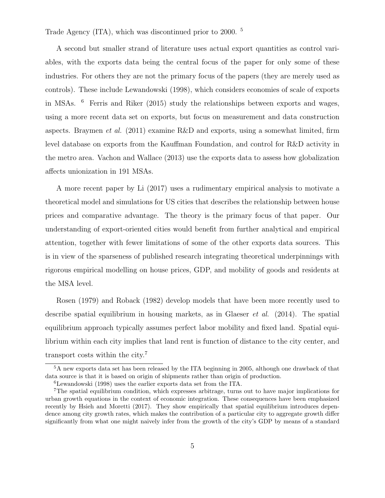Trade Agency (ITA), which was discontinued prior to 2000. <sup>5</sup>

A second but smaller strand of literature uses actual export quantities as control variables, with the exports data being the central focus of the paper for only some of these industries. For others they are not the primary focus of the papers (they are merely used as controls). These include Lewandowski (1998), which considers economies of scale of exports in MSAs. <sup>6</sup> Ferris and Riker (2015) study the relationships between exports and wages, using a more recent data set on exports, but focus on measurement and data construction aspects. Braymen *et al.* (2011) examine R&D and exports, using a somewhat limited, firm level database on exports from the Kauffman Foundation, and control for R&D activity in the metro area. Vachon and Wallace (2013) use the exports data to assess how globalization affects unionization in 191 MSAs.

A more recent paper by Li (2017) uses a rudimentary empirical analysis to motivate a theoretical model and simulations for US cities that describes the relationship between house prices and comparative advantage. The theory is the primary focus of that paper. Our understanding of export-oriented cities would benefit from further analytical and empirical attention, together with fewer limitations of some of the other exports data sources. This is in view of the sparseness of published research integrating theoretical underpinnings with rigorous empirical modelling on house prices, GDP, and mobility of goods and residents at the MSA level.

Rosen (1979) and Roback (1982) develop models that have been more recently used to describe spatial equilibrium in housing markets, as in Glaeser *et al.* (2014). The spatial equilibrium approach typically assumes perfect labor mobility and fixed land. Spatial equilibrium within each city implies that land rent is function of distance to the city center, and transport costs within the city.<sup>7</sup>

<sup>&</sup>lt;sup>5</sup>A new exports data set has been released by the ITA beginning in 2005, although one drawback of that data source is that it is based on origin of shipments rather than origin of production.

<sup>6</sup>Lewandowski (1998) uses the earlier exports data set from the ITA.

<sup>7</sup>The spatial equilibrium condition, which expresses arbitrage, turns out to have major implications for urban growth equations in the context of economic integration. These consequences have been emphasized recently by Hsieh and Moretti (2017). They show empirically that spatial equilibrium introduces dependence among city growth rates, which makes the contribution of a particular city to aggregate growth differ significantly from what one might naively infer from the growth of the city's GDP by means of a standard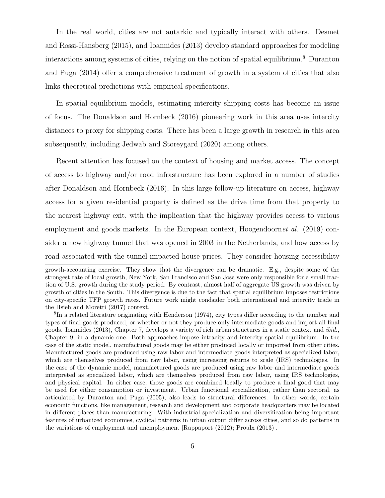In the real world, cities are not autarkic and typically interact with others. Desmet and Rossi-Hansberg (2015), and Ioannides (2013) develop standard approaches for modeling interactions among systems of cities, relying on the notion of spatial equilibrium.<sup>8</sup> Duranton and Puga (2014) offer a comprehensive treatment of growth in a system of cities that also links theoretical predictions with empirical specifications.

In spatial equilibrium models, estimating intercity shipping costs has become an issue of focus. The Donaldson and Hornbeck (2016) pioneering work in this area uses intercity distances to proxy for shipping costs. There has been a large growth in research in this area subsequently, including Jedwab and Storeygard (2020) among others.

Recent attention has focused on the context of housing and market access. The concept of access to highway and/or road infrastructure has been explored in a number of studies after Donaldson and Hornbeck (2016). In this large follow-up literature on access, highway access for a given residential property is defined as the drive time from that property to the nearest highway exit, with the implication that the highway provides access to various employment and goods markets. In the European context, Hoogendoorn*et al.* (2019) consider a new highway tunnel that was opened in 2003 in the Netherlands, and how access by road associated with the tunnel impacted house prices. They consider housing accessibility

growth-accounting exercise. They show that the divergence can be dramatic. E.g., despite some of the strongest rate of local growth, New York, San Francisco and San Jose were only responsible for a small fraction of U.S. growth during the study period. By contrast, almost half of aggregate US growth was driven by growth of cities in the South. This divergence is due to the fact that spatial equilibrium imposes restrictions on city-specific TFP growth rates. Future work might condsider both international and intercity trade in the Hsieh and Moretti (2017) context.

<sup>&</sup>lt;sup>8</sup>In a related literature originating with Henderson (1974), city types differ according to the number and types of final goods produced, or whether or not they produce only intermediate goods and import all final goods. Ioannides (2013), Chapter 7, develops a variety of rich urban structures in a static context and *ibid.,* Chapter 9, in a dynamic one. Both approaches impose intracity and intercity spatial equilibrium. In the case of the static model, manufactured goods may be either produced locally or imported from other cities. Manufactured goods are produced using raw labor and intermediate goods interpreted as specialized labor, which are themselves produced from raw labor, using increasing returns to scale (IRS) technologies. In the case of the dynamic model, manufactured goods are produced using raw labor and intermediate goods interpreted as specialized labor, which are themselves produced from raw labor, using IRS technologies, and physical capital. In either case, those goods are combined locally to produce a final good that may be used for either consumption or investment. Urban functional specialization, rather than sectoral, as articulated by Duranton and Puga (2005), also leads to structural differences. In other words, certain economic functions, like management, research and development and corporate headquarters may be located in different places than manufacturing. With industrial specialization and diversification being important features of urbanized economies, cyclical patterns in urban output differ across cities, and so do patterns in the variations of employment and unemployment [Rappaport (2012); Proulx (2013)].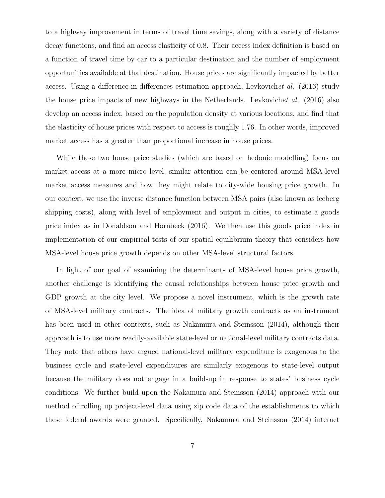to a highway improvement in terms of travel time savings, along with a variety of distance decay functions, and find an access elasticity of 0.8. Their access index definition is based on a function of travel time by car to a particular destination and the number of employment opportunities available at that destination. House prices are significantly impacted by better access. Using a difference-in-differences estimation approach, Levkovich*et al.* (2016) study the house price impacts of new highways in the Netherlands. Levkovich*et al.* (2016) also develop an access index, based on the population density at various locations, and find that the elasticity of house prices with respect to access is roughly 1.76. In other words, improved market access has a greater than proportional increase in house prices.

While these two house price studies (which are based on hedonic modelling) focus on market access at a more micro level, similar attention can be centered around MSA-level market access measures and how they might relate to city-wide housing price growth. In our context, we use the inverse distance function between MSA pairs (also known as iceberg shipping costs), along with level of employment and output in cities, to estimate a goods price index as in Donaldson and Hornbeck (2016). We then use this goods price index in implementation of our empirical tests of our spatial equilibrium theory that considers how MSA-level house price growth depends on other MSA-level structural factors.

In light of our goal of examining the determinants of MSA-level house price growth, another challenge is identifying the causal relationships between house price growth and GDP growth at the city level. We propose a novel instrument, which is the growth rate of MSA-level military contracts. The idea of military growth contracts as an instrument has been used in other contexts, such as Nakamura and Steinsson (2014), although their approach is to use more readily-available state-level or national-level military contracts data. They note that others have argued national-level military expenditure is exogenous to the business cycle and state-level expenditures are similarly exogenous to state-level output because the military does not engage in a build-up in response to states' business cycle conditions. We further build upon the Nakamura and Steinsson (2014) approach with our method of rolling up project-level data using zip code data of the establishments to which these federal awards were granted. Specifically, Nakamura and Steinsson (2014) interact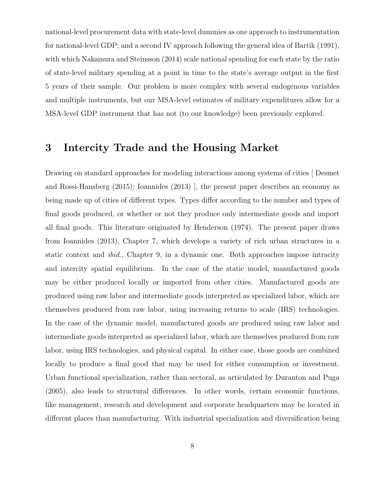national-level procurement data with state-level dummies as one approach to instrumentation for national-level GDP; and a second IV approach following the general idea of Bartik (1991), with which Nakamura and Steinsson (2014) scale national spending for each state by the ratio of state-level military spending at a point in time to the state's average output in the first 5 years of their sample. Our problem is more complex with several endogenous variables and multiple instruments, but our MSA-level estimates of military expenditures allow for a MSA-level GDP instrument that has not (to our knowledge) been previously explored.

## **3 Intercity Trade and the Housing Market**

Drawing on standard approaches for modeling interactions among systems of cities [ Desmet and Rossi-Hansberg (2015); Ioannides (2013) ], the present paper describes an economy as being made up of cities of different types. Types differ according to the number and types of final goods produced, or whether or not they produce only intermediate goods and import all final goods. This literature originated by Henderson (1974). The present paper draws from Ioannides (2013), Chapter 7, which develops a variety of rich urban structures in a static context and *ibid.,* Chapter 9, in a dynamic one. Both approaches impose intracity and intercity spatial equilibrium. In the case of the static model, manufactured goods may be either produced locally or imported from other cities. Manufactured goods are produced using raw labor and intermediate goods interpreted as specialized labor, which are themselves produced from raw labor, using increasing returns to scale (IRS) technologies. In the case of the dynamic model, manufactured goods are produced using raw labor and intermediate goods interpreted as specialized labor, which are themselves produced from raw labor, using IRS technologies, and physical capital. In either case, those goods are combined locally to produce a final good that may be used for either consumption or investment. Urban functional specialization, rather than sectoral, as articulated by Duranton and Puga (2005), also leads to structural differences. In other words, certain economic functions, like management, research and development and corporate headquarters may be located in different places than manufacturing. With industrial specialization and diversification being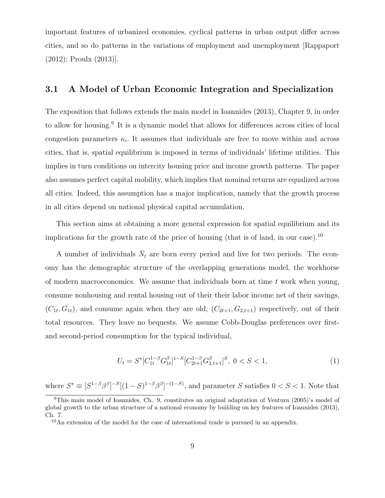important features of urbanized economies, cyclical patterns in urban output differ across cities, and so do patterns in the variations of employment and unemployment [Rappaport (2012); Proulx (2013)].

## **3.1 A Model of Urban Economic Integration and Specialization**

The exposition that follows extends the main model in Ioannides (2013), Chapter 9, in order to allow for housing.<sup>9</sup> It is a dynamic model that allows for differences across cities of local congestion parameters  $\kappa_i$ . It assumes that individuals are free to move within and across cities, that is, spatial equilibrium is imposed in terms of individuals' lifetime utilities. This implies in turn conditions on intercity housing price and income growth patterns. The paper also assumes perfect capital mobility, which implies that nominal returns are equalized across all cities. Indeed, this assumption has a major implication, namely that the growth process in all cities depend on national physical capital accumulation.

This section aims at obtaining a more general expression for spatial equilibrium and its implications for the growth rate of the price of housing (that is of land, in our case).<sup>10</sup>

A number of individuals  $\bar{N}_t$  are born every period and live for two periods. The economy has the demographic structure of the overlapping generations model, the workhorse of modern macroeconomics. We assume that individuals born at time *t* work when young, consume nonhousing and rental housing out of their their labor income net of their savings,  $(C_{1t}, G_{1t})$ , and consume again when they are old,  $(C_{2t+1}, G_{2,t+1})$  respectively, out of their total resources. They leave no bequests. We assume Cobb-Douglas preferences over firstand second-period consumption for the typical individual,

$$
U_t = S^* [C_{1t}^{1-\beta} G_{1t}^{\beta}]^{1-S} [C_{2t+1}^{1-\beta} G_{2,t+1}^{\beta}]^S, \ 0 < S < 1,\tag{1}
$$

where  $S^* \equiv [S^{1-\beta} \beta^{\beta}]^{-S}[(1-S)^{1-\beta} \beta^{\beta}]^{-(1-S)}$ , and parameter S satisfies  $0 < S < 1$ . Note that

<sup>9</sup>This main model of Ioannides, Ch. 9, constitutes an original adaptation of Ventura (2005)'s model of global growth to the urban structure of a national economy by building on key features of Ioannides (2013), Ch. 7.

 $10$ An extension of the model for the case of international trade is pursued in an appendix.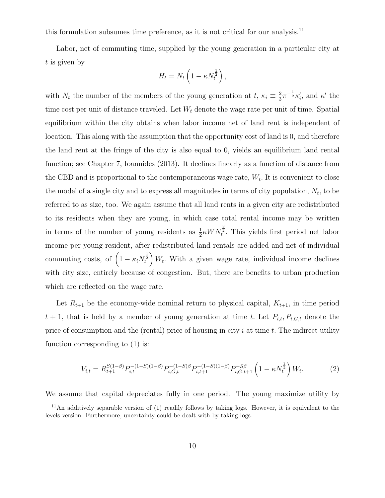this formulation subsumes time preference, as it is not critical for our analysis.<sup>11</sup>

Labor, net of commuting time, supplied by the young generation in a particular city at *t* is given by

$$
H_t = N_t \left( 1 - \kappa N_t^{\frac{1}{2}} \right),
$$

with  $N_t$  the number of the members of the young generation at  $t, \kappa_i \equiv \frac{2}{3}$  $\frac{2}{3}\pi^{-\frac{1}{2}}\kappa'_i$ , and  $\kappa'$  the time cost per unit of distance traveled. Let *W<sup>t</sup>* denote the wage rate per unit of time. Spatial equilibrium within the city obtains when labor income net of land rent is independent of location. This along with the assumption that the opportunity cost of land is 0, and therefore the land rent at the fringe of the city is also equal to 0, yields an equilibrium land rental function; see Chapter 7, Ioannides (2013). It declines linearly as a function of distance from the CBD and is proportional to the contemporaneous wage rate, *W<sup>t</sup> .* It is convenient to close the model of a single city and to express all magnitudes in terms of city population,  $N_t$ , to be referred to as size, too. We again assume that all land rents in a given city are redistributed to its residents when they are young, in which case total rental income may be written in terms of the number of young residents as  $\frac{1}{2} \kappa W N_t^{\frac{3}{2}}$ . This yields first period net labor income per young resident, after redistributed land rentals are added and net of individual commuting costs, of  $\left(1 - \kappa_i N_t^{\frac{1}{2}}\right)$  $\left(W_t$ . With a given wage rate, individual income declines with city size, entirely because of congestion. But, there are benefits to urban production which are reflected on the wage rate.

Let  $R_{t+1}$  be the economy-wide nominal return to physical capital,  $K_{t+1}$ , in time period  $t + 1$ , that is held by a member of young generation at time *t*. Let  $P_{i,t}$ ,  $P_{i,G,t}$  denote the price of consumption and the (rental) price of housing in city *i* at time *t.* The indirect utility function corresponding to (1) is:

$$
V_{i,t} = R_{t+1}^{S(1-\beta)} P_{i,t}^{-(1-S)(1-\beta)} P_{i,G,t}^{-(1-S)\beta} P_{i,t+1}^{-(1-S)(1-\beta)} P_{i,G,t+1}^{-S\beta} \left(1 - \kappa N_t^{\frac{1}{2}}\right) W_t.
$$
 (2)

We assume that capital depreciates fully in one period. The young maximize utility by

<sup>11</sup>An additively separable version of (1) readily follows by taking logs. However, it is equivalent to the levels-version. Furthermore, uncertainty could be dealt with by taking logs.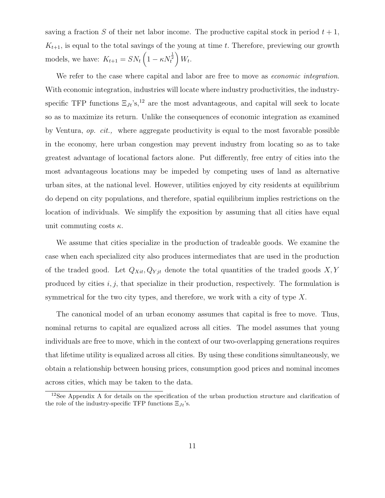saving a fraction *S* of their net labor income. The productive capital stock in period  $t + 1$ ,  $K_{t+1}$ , is equal to the total savings of the young at time *t*. Therefore, previewing our growth models, we have:  $K_{t+1} = SN_t \left(1 - \kappa N_t^{\frac{1}{2}}\right)$  $\bigg) W_t.$ 

We refer to the case where capital and labor are free to move as *economic integration*. With economic integration, industries will locate where industry productivities, the industryspecific TFP functions  $\Xi_{Jt}$ 's,<sup>12</sup> are the most advantageous, and capital will seek to locate so as to maximize its return. Unlike the consequences of economic integration as examined by Ventura, *op. cit.,* where aggregate productivity is equal to the most favorable possible in the economy, here urban congestion may prevent industry from locating so as to take greatest advantage of locational factors alone. Put differently, free entry of cities into the most advantageous locations may be impeded by competing uses of land as alternative urban sites, at the national level. However, utilities enjoyed by city residents at equilibrium do depend on city populations, and therefore, spatial equilibrium implies restrictions on the location of individuals. We simplify the exposition by assuming that all cities have equal unit commuting costs *κ.*

We assume that cities specialize in the production of tradeable goods. We examine the case when each specialized city also produces intermediates that are used in the production of the traded good. Let  $Q_{Xit}$ ,  $Q_{Yjt}$  denote the total quantities of the traded goods  $X, Y$ produced by cities *i, j,* that specialize in their production, respectively. The formulation is symmetrical for the two city types, and therefore, we work with a city of type *X.*

The canonical model of an urban economy assumes that capital is free to move. Thus, nominal returns to capital are equalized across all cities. The model assumes that young individuals are free to move, which in the context of our two-overlapping generations requires that lifetime utility is equalized across all cities. By using these conditions simultaneously, we obtain a relationship between housing prices, consumption good prices and nominal incomes across cities, which may be taken to the data.

<sup>12</sup>See Appendix A for details on the specification of the urban production structure and clarification of the role of the industry-specific TFP functions Ξ*Jt*'s.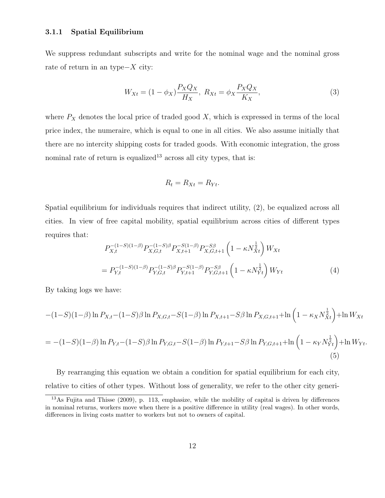#### **3.1.1 Spatial Equilibrium**

We suppress redundant subscripts and write for the nominal wage and the nominal gross rate of return in an type*−X* city:

$$
W_{Xt} = (1 - \phi_X) \frac{P_X Q_X}{H_X}, \ R_{Xt} = \phi_X \frac{P_X Q_X}{K_X},
$$
\n(3)

where  $P_X$  denotes the local price of traded good  $X$ , which is expressed in terms of the local price index, the numeraire, which is equal to one in all cities. We also assume initially that there are no intercity shipping costs for traded goods. With economic integration, the gross nominal rate of return is equalized<sup>13</sup> across all city types, that is:

$$
R_t = R_{Xt} = R_{Yt}.
$$

Spatial equilibrium for individuals requires that indirect utility, (2), be equalized across all cities. In view of free capital mobility, spatial equilibrium across cities of different types requires that:

$$
P_{X,t}^{-(1-S)(1-\beta)}P_{X,G,t}^{-(1-S)\beta}P_{X,t+1}^{-(1-\beta)}P_{X,G,t+1}^{-(1-\beta)}\left(1-\kappa N_{Xt}^{\frac{1}{2}}\right)W_{Xt}
$$
  
= 
$$
P_{Y,t}^{-(1-S)(1-\beta)}P_{Y,G,t}^{-(1-S)\beta}P_{Y,t+1}^{-(1-\beta)}P_{Y,G,t+1}^{-(S)\beta}\left(1-\kappa N_{Yt}^{\frac{1}{2}}\right)W_{Yt}
$$
(4)

By taking logs we have:

$$
-(1-S)(1-\beta)\ln P_{X,t}-(1-S)\beta\ln P_{X,G,t}-S(1-\beta)\ln P_{X,t+1}-S\beta\ln P_{X,G,t+1}+\ln\left(1-\kappa_X N_{Xt}^{\frac{1}{2}}\right)+\ln W_{Xt}
$$

$$
= -(1-S)(1-\beta)\ln P_{Y,t} - (1-S)\beta\ln P_{Y,G,t} - S(1-\beta)\ln P_{Y,t+1} - S\beta\ln P_{Y,G,t+1} + \ln\left(1 - \kappa_Y N_{Yt}^{\frac{1}{2}}\right) + \ln W_{Yt}.
$$
\n(5)

By rearranging this equation we obtain a condition for spatial equilibrium for each city, relative to cities of other types. Without loss of generality, we refer to the other city generi-

<sup>13</sup>As Fujita and Thisse (2009), p. 113, emphasize, while the mobility of capital is driven by differences in nominal returns, workers move when there is a positive difference in utility (real wages). In other words, differences in living costs matter to workers but not to owners of capital.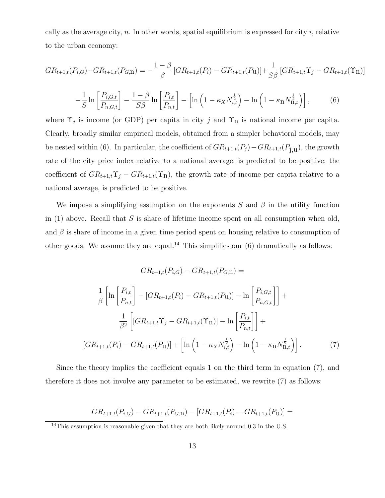cally as the average city,  $n$ . In other words, spatial equilibrium is expressed for city  $i$ , relative to the urban economy:

$$
GR_{t+1,t}(P_{i,G}) - GR_{t+1,t}(P_{G,\mathbf{I}}) = -\frac{1-\beta}{\beta} \left[ GR_{t+1,t}(P_i) - GR_{t+1,t}(P_{\mathbf{u}}) \right] + \frac{1}{S\beta} \left[ GR_{t+1,t} \Upsilon_j - GR_{t+1,t}(\Upsilon_{\mathbf{I}}) \right]
$$

$$
-\frac{1}{S}\ln\left[\frac{P_{i,G,t}}{P_{n,G,t}}\right] - \frac{1-\beta}{S\beta}\ln\left[\frac{P_{i,t}}{P_{n,t}}\right] - \left[\ln\left(1 - \kappa_X N_{i,t}^{\frac{1}{2}}\right) - \ln\left(1 - \kappa_\Pi N_{\Pi,t}^{\frac{1}{2}}\right)\right],\tag{6}
$$

where  $\Upsilon_j$  is income (or GDP) per capita in city *j* and  $\Upsilon_n$  is national income per capita. Clearly, broadly similar empirical models, obtained from a simpler behavioral models, may be nested within (6). In particular, the coefficient of  $GR_{t+1,t}(P_j) - GR_{t+1,t}(P_{j,u})$ , the growth rate of the city price index relative to a national average, is predicted to be positive; the coefficient of  $GR_{t+1,t}\Upsilon_j - GR_{t+1,t}(\Upsilon_n)$ , the growth rate of income per capita relative to a national average, is predicted to be positive.

We impose a simplifying assumption on the exponents  $S$  and  $\beta$  in the utility function in (1) above. Recall that *S* is share of lifetime income spent on all consumption when old, and  $\beta$  is share of income in a given time period spent on housing relative to consumption of other goods. We assume they are equal.<sup>14</sup> This simplifies our  $(6)$  dramatically as follows:

$$
GR_{t+1,t}(P_{i,G}) - GR_{t+1,t}(P_{G,\Pi}) =
$$
  
\n
$$
\frac{1}{\beta} \left[ \ln \left[ \frac{P_{i,t}}{P_{n,t}} \right] - [GR_{t+1,t}(P_i) - GR_{t+1,t}(P_{\Pi})] - \ln \left[ \frac{P_{i,G,t}}{P_{n,G,t}} \right] \right] +
$$
  
\n
$$
\frac{1}{\beta^2} \left[ [GR_{t+1,t} \Upsilon_j - GR_{t+1,t}(\Upsilon_{\Pi})] - \ln \left[ \frac{P_{i,t}}{P_{n,t}} \right] \right] +
$$
  
\n
$$
[GR_{t+1,t}(P_i) - GR_{t+1,t}(P_{\Pi})] + \left[ \ln \left( 1 - \kappa_X N_{i,t}^{\frac{1}{2}} \right) - \ln \left( 1 - \kappa_{\Pi} N_{\Pi,t}^{\frac{1}{2}} \right) \right].
$$
 (7)

Since the theory implies the coefficient equals 1 on the third term in equation (7), and therefore it does not involve any parameter to be estimated, we rewrite (7) as follows:

$$
GR_{t+1,t}(P_{i,G}) - GR_{t+1,t}(P_{G,\mathbf{I}}) - [GR_{t+1,t}(P_i) - GR_{t+1,t}(P_{\mathbf{U}})] =
$$

<sup>14</sup>This assumption is reasonable given that they are both likely around 0*.*3 in the U.S.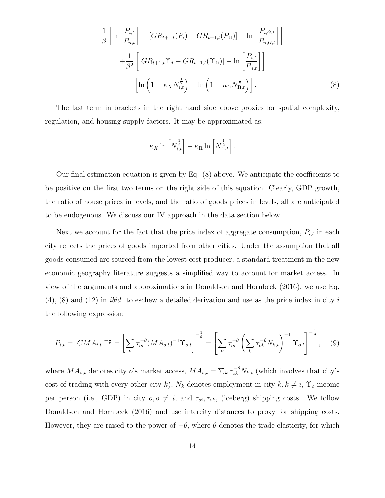$$
\frac{1}{\beta} \left[ \ln \left[ \frac{P_{i,t}}{P_{n,t}} \right] - [GR_{t+1,t}(P_i) - GR_{t+1,t}(P_{u})] - \ln \left[ \frac{P_{i,G,t}}{P_{n,G,t}} \right] \right] \n+ \frac{1}{\beta^2} \left[ [GR_{t+1,t} \Upsilon_j - GR_{t+1,t}(\Upsilon_{n})] - \ln \left[ \frac{P_{i,t}}{P_{n,t}} \right] \right] \n+ \left[ \ln \left( 1 - \kappa_X N_{i,t}^{\frac{1}{2}} \right) - \ln \left( 1 - \kappa_{n} N_{n,t}^{\frac{1}{2}} \right) \right].
$$
\n(8)

The last term in brackets in the right hand side above proxies for spatial complexity, regulation, and housing supply factors. It may be approximated as:

$$
\kappa_X \ln \left[ N_{i,t}^{\frac{1}{2}} \right] - \kappa_\Pi \ln \left[ N_{\Pi,t}^{\frac{1}{2}} \right].
$$

Our final estimation equation is given by Eq. (8) above. We anticipate the coefficients to be positive on the first two terms on the right side of this equation. Clearly, GDP growth, the ratio of house prices in levels, and the ratio of goods prices in levels, all are anticipated to be endogenous. We discuss our IV approach in the data section below.

Next we account for the fact that the price index of aggregate consumption,  $P_{i,t}$  in each city reflects the prices of goods imported from other cities. Under the assumption that all goods consumed are sourced from the lowest cost producer, a standard treatment in the new economic geography literature suggests a simplified way to account for market access. In view of the arguments and approximations in Donaldson and Hornbeck (2016), we use Eq. (4), (8) and (12) in *ibid.* to eschew a detailed derivation and use as the price index in city *i* the following expression:

$$
P_{i,t} = [CMA_{i,t}]^{-\frac{1}{\theta}} = \left[\sum_{o} \tau_{oi}^{-\theta} (MA_{o,t})^{-1} \Upsilon_{o,t}\right]^{-\frac{1}{\theta}} = \left[\sum_{o} \tau_{oi}^{-\theta} \left(\sum_{k} \tau_{ok}^{-\theta} N_{k,t}\right)^{-1} \Upsilon_{o,t}\right]^{-\frac{1}{\theta}}, \quad (9)
$$

where  $MA_{o,t}$  denotes city *o*'s market access,  $MA_{o,t} = \sum_{k} \tau_{ok}^{-\theta} N_{k,t}$  (which involves that city's cost of trading with every other city *k*),  $N_k$  denotes employment in city  $k, k \neq i$ ,  $\Upsilon_o$  income per person (i.e., GDP) in city  $o, o \neq i$ , and  $\tau_{oi}, \tau_{ok}$ , (iceberg) shipping costs. We follow Donaldson and Hornbeck (2016) and use intercity distances to proxy for shipping costs. However, they are raised to the power of  $-\theta$ , where  $\theta$  denotes the trade elasticity, for which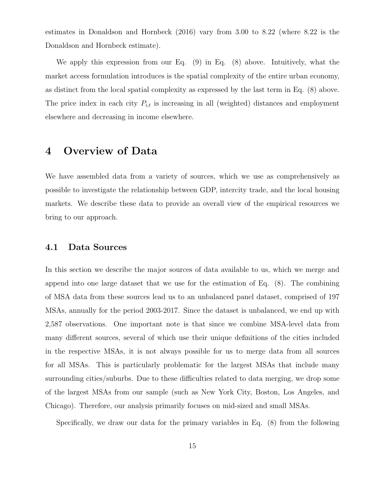estimates in Donaldson and Hornbeck (2016) vary from 3*.*00 to 8*.*22 (where 8*.*22 is the Donaldson and Hornbeck estimate).

We apply this expression from our Eq. (9) in Eq. (8) above. Intuitively, what the market access formulation introduces is the spatial complexity of the entire urban economy, as distinct from the local spatial complexity as expressed by the last term in Eq. (8) above. The price index in each city  $P_{i,t}$  is increasing in all (weighted) distances and employment elsewhere and decreasing in income elsewhere.

## **4 Overview of Data**

We have assembled data from a variety of sources, which we use as comprehensively as possible to investigate the relationship between GDP, intercity trade, and the local housing markets. We describe these data to provide an overall view of the empirical resources we bring to our approach.

### **4.1 Data Sources**

In this section we describe the major sources of data available to us, which we merge and append into one large dataset that we use for the estimation of Eq. (8). The combining of MSA data from these sources lead us to an unbalanced panel dataset, comprised of 197 MSAs, annually for the period 2003-2017. Since the dataset is unbalanced, we end up with 2,587 observations. One important note is that since we combine MSA-level data from many different sources, several of which use their unique definitions of the cities included in the respective MSAs, it is not always possible for us to merge data from all sources for all MSAs. This is particularly problematic for the largest MSAs that include many surrounding cities/suburbs. Due to these difficulties related to data merging, we drop some of the largest MSAs from our sample (such as New York City, Boston, Los Angeles, and Chicago). Therefore, our analysis primarily focuses on mid-sized and small MSAs.

Specifically, we draw our data for the primary variables in Eq. (8) from the following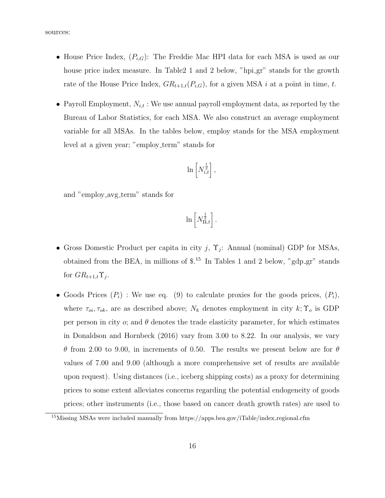sources:

- *•* House Price Index, (*Pi,G*): The Freddie Mac HPI data for each MSA is used as our house price index measure. In Table 21 and 2 below, "hpigr" stands for the growth rate of the House Price Index,  $GR_{t+1,t}(P_{i,G})$ , for a given MSA *i* at a point in time, *t*.
- *•* Payroll Employment, *Ni,t* : We use annual payroll employment data, as reported by the Bureau of Labor Statistics, for each MSA. We also construct an average employment variable for all MSAs. In the tables below, employ stands for the MSA employment level at a given year; "employ term" stands for

$$
\ln\left[N_{i,t}^{\frac{1}{2}}\right],
$$

and "employ\_avg\_term" stands for

$$
\ln\left[N_{\mathrm{II},t}^{\frac{1}{2}}\right].
$$

- *•* Gross Domestic Product per capita in city *j*, Υ*<sup>j</sup>* : Annual (nominal) GDP for MSAs, obtained from the BEA, in millions of  $\text{\$}$ .<sup>15</sup> In Tables 1 and 2 below, "gdp<sub>-gr</sub>" stands for  $GR_{t+1,t} \Upsilon_j$ .
- Goods Prices  $(P_i)$ : We use eq. (9) to calculate proxies for the goods prices,  $(P_i)$ , where  $\tau_{oi}, \tau_{ok}$ , are as described above;  $N_k$  denotes employment in city  $k; \Upsilon_o$  is GDP per person in city  $\alpha$ ; and  $\theta$  denotes the trade elasticity parameter, for which estimates in Donaldson and Hornbeck (2016) vary from 3*.*00 to 8*.*22. In our analysis, we vary *θ* from 2*.*00 to 9*.*00, in increments of 0*.*50. The results we present below are for *θ* values of 7*.*00 and 9*.*00 (although a more comprehensive set of results are available upon request). Using distances (i.e., iceberg shipping costs) as a proxy for determining prices to some extent alleviates concerns regarding the potential endogeneity of goods prices; other instruments (i.e., those based on cancer death growth rates) are used to

<sup>&</sup>lt;sup>15</sup>Missing MSAs were included manually from https://apps.bea.gov/iTable/index\_regional.cfm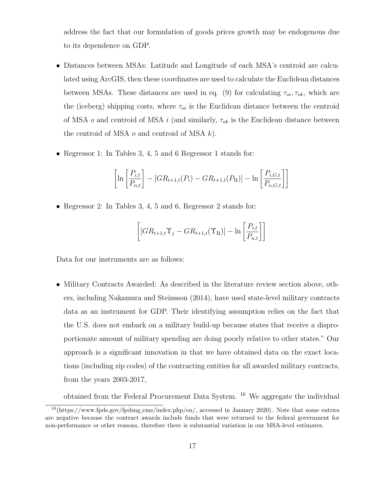address the fact that our formulation of goods prices growth may be endogenous due to its dependence on GDP.

- Distances between MSAs: Latitude and Longitude of each MSA's centroid are calculated using ArcGIS, then these coordinates are used to calculate the Euclidean distances between MSAs. These distances are used in eq. (9) for calculating  $\tau_{oi}, \tau_{ok}$ , which are the (iceberg) shipping costs, where  $\tau_{oi}$  is the Euclidean distance between the centroid of MSA *o* and centroid of MSA *i* (and similarly, *τok* is the Euclidean distance between the centroid of MSA *o* and centroid of MSA *k*).
- *•* Regressor 1: In Tables 3, 4, 5 and 6 Regressor 1 stands for:

$$
\left[\ln\left[\frac{P_{i,t}}{P_{n,t}}\right] - [GR_{t+1,t}(P_i) - GR_{t+1,t}(P_{u})] - \ln\left[\frac{P_{i,G,t}}{P_{n,G,t}}\right]\right]
$$

*•* Regressor 2: In Tables 3, 4, 5 and 6, Regressor 2 stands for:

$$
\left[ [GR_{t+1,t}\Upsilon_j - GR_{t+1,t}(\Upsilon_{\mathbf{n}})] - \ln \left[ \frac{P_{i,t}}{P_{n,t}} \right] \right]
$$

Data for our instruments are as follows:

• Military Contracts Awarded: As described in the literature review section above, others, including Nakamura and Steinsson (2014), have used state-level military contracts data as an instrument for GDP. Their identifying assumption relies on the fact that the U.S. does not embark on a military build-up because states that receive a disproportionate amount of military spending are doing poorly relative to other states." Our approach is a significant innovation in that we have obtained data on the exact locations (including zip codes) of the contracting entities for all awarded military contracts, from the years 2003-2017,

obtained from the Federal Procurement Data System. <sup>16</sup> We aggregate the individual

<sup>16</sup>(https://www.fpds.gov/fpdsng cms/index.php/en/, accessed in January 2020). Note that some entries are negative because the contract awards include funds that were returned to the federal government for non-performance or other reasons, therefore there is substantial variation in our MSA-level estimates.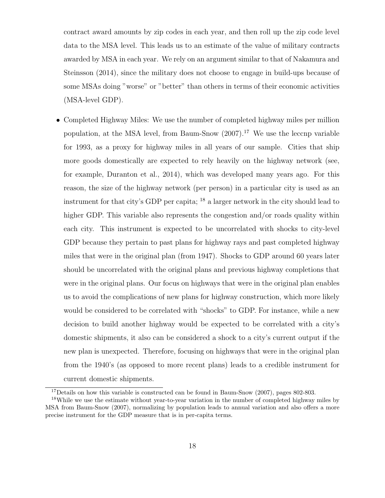contract award amounts by zip codes in each year, and then roll up the zip code level data to the MSA level. This leads us to an estimate of the value of military contracts awarded by MSA in each year. We rely on an argument similar to that of Nakamura and Steinsson (2014), since the military does not choose to engage in build-ups because of some MSAs doing "worse" or "better" than others in terms of their economic activities (MSA-level GDP).

• Completed Highway Miles: We use the number of completed highway miles per million population, at the MSA level, from Baum-Snow (2007).<sup>17</sup> We use the leccnp variable for 1993, as a proxy for highway miles in all years of our sample. Cities that ship more goods domestically are expected to rely heavily on the highway network (see, for example, Duranton et al., 2014), which was developed many years ago. For this reason, the size of the highway network (per person) in a particular city is used as an instrument for that city's GDP per capita; <sup>18</sup> a larger network in the city should lead to higher GDP. This variable also represents the congestion and/or roads quality within each city. This instrument is expected to be uncorrelated with shocks to city-level GDP because they pertain to past plans for highway rays and past completed highway miles that were in the original plan (from 1947). Shocks to GDP around 60 years later should be uncorrelated with the original plans and previous highway completions that were in the original plans. Our focus on highways that were in the original plan enables us to avoid the complications of new plans for highway construction, which more likely would be considered to be correlated with "shocks" to GDP. For instance, while a new decision to build another highway would be expected to be correlated with a city's domestic shipments, it also can be considered a shock to a city's current output if the new plan is unexpected. Therefore, focusing on highways that were in the original plan from the 1940's (as opposed to more recent plans) leads to a credible instrument for current domestic shipments.

<sup>&</sup>lt;sup>17</sup>Details on how this variable is constructed can be found in Baum-Snow  $(2007)$ , pages 802-803.

<sup>&</sup>lt;sup>18</sup>While we use the estimate without year-to-year variation in the number of completed highway miles by MSA from Baum-Snow (2007), normalizing by population leads to annual variation and also offers a more precise instrument for the GDP measure that is in per-capita terms.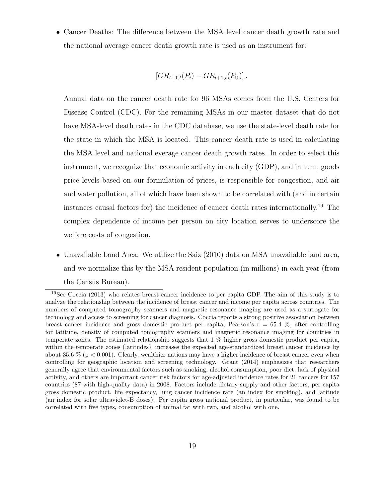*•* Cancer Deaths: The difference between the MSA level cancer death growth rate and the national average cancer death growth rate is used as an instrument for:

$$
[GR_{t+1,t}(P_i) - GR_{t+1,t}(P_{\mathbf{u}})].
$$

Annual data on the cancer death rate for 96 MSAs comes from the U.S. Centers for Disease Control (CDC). For the remaining MSAs in our master dataset that do not have MSA-level death rates in the CDC database, we use the state-level death rate for the state in which the MSA is located. This cancer death rate is used in calculating the MSA level and national everage cancer death growth rates. In order to select this instrument, we recognize that economic activity in each city (GDP), and in turn, goods price levels based on our formulation of prices, is responsible for congestion, and air and water pollution, all of which have been shown to be correlated with (and in certain instances causal factors for) the incidence of cancer death rates internationally.<sup>19</sup> The complex dependence of income per person on city location serves to underscore the welfare costs of congestion.

*•* Unavailable Land Area: We utilize the Saiz (2010) data on MSA unavailable land area, and we normalize this by the MSA resident population (in millions) in each year (from the Census Bureau).

<sup>&</sup>lt;sup>19</sup>See Coccia (2013) who relates breast cancer incidence to per capita GDP. The aim of this study is to analyze the relationship between the incidence of breast cancer and income per capita across countries. The numbers of computed tomography scanners and magnetic resonance imaging are used as a surrogate for technology and access to screening for cancer diagnosis. Coccia reports a strong positive association between breast cancer incidence and gross domestic product per capita, Pearson's  $r = 65.4 \%$ , after controlling for latitude, density of computed tomography scanners and magnetic resonance imaging for countries in temperate zones. The estimated relationship suggests that 1 % higher gross domestic product per capita, within the temperate zones (latitudes), increases the expected age-standardized breast cancer incidence by about 35.6 % (p *<* 0.001). Clearly, wealthier nations may have a higher incidence of breast cancer even when controlling for geographic location and screening technology. Grant (2014) emphasizes that researchers generally agree that environmental factors such as smoking, alcohol consumption, poor diet, lack of physical activity, and others are important cancer risk factors for age-adjusted incidence rates for 21 cancers for 157 countries (87 with high-quality data) in 2008. Factors include dietary supply and other factors, per capita gross domestic product, life expectancy, lung cancer incidence rate (an index for smoking), and latitude (an index for solar ultraviolet-B doses). Per capita gross national product, in particular, was found to be correlated with five types, consumption of animal fat with two, and alcohol with one.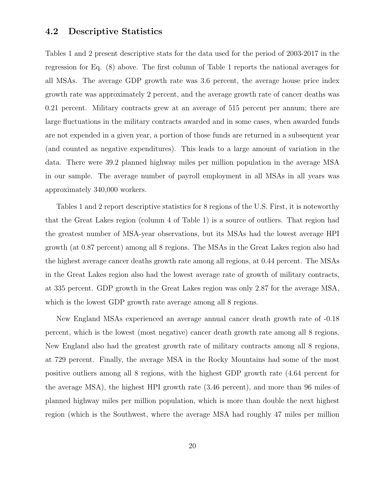## **4.2 Descriptive Statistics**

Tables 1 and 2 present descriptive stats for the data used for the period of 2003-2017 in the regression for Eq. (8) above. The first column of Table 1 reports the national averages for all MSAs. The average GDP growth rate was 3.6 percent, the average house price index growth rate was approximately 2 percent, and the average growth rate of cancer deaths was 0.21 percent. Military contracts grew at an average of 515 percent per annum; there are large fluctuations in the military contracts awarded and in some cases, when awarded funds are not expended in a given year, a portion of those funds are returned in a subsequent year (and counted as negative expenditures). This leads to a large amount of variation in the data. There were 39.2 planned highway miles per million population in the average MSA in our sample. The average number of payroll employment in all MSAs in all years was approximately 340,000 workers.

Tables 1 and 2 report descriptive statistics for 8 regions of the U.S. First, it is noteworthy that the Great Lakes region (column 4 of Table 1) is a source of outliers. That region had the greatest number of MSA-year observations, but its MSAs had the lowest average HPI growth (at 0.87 percent) among all 8 regions. The MSAs in the Great Lakes region also had the highest average cancer deaths growth rate among all regions, at 0.44 percent. The MSAs in the Great Lakes region also had the lowest average rate of growth of military contracts, at 335 percent. GDP growth in the Great Lakes region was only 2.87 for the average MSA, which is the lowest GDP growth rate average among all 8 regions.

New England MSAs experienced an average annual cancer death growth rate of -0.18 percent, which is the lowest (most negative) cancer death growth rate among all 8 regions. New England also had the greatest growth rate of military contracts among all 8 regions, at 729 percent. Finally, the average MSA in the Rocky Mountains had some of the most positive outliers among all 8 regions, with the highest GDP growth rate (4.64 percent for the average MSA), the highest HPI growth rate (3.46 percent), and more than 96 miles of planned highway miles per million population, which is more than double the next highest region (which is the Southwest, where the average MSA had roughly 47 miles per million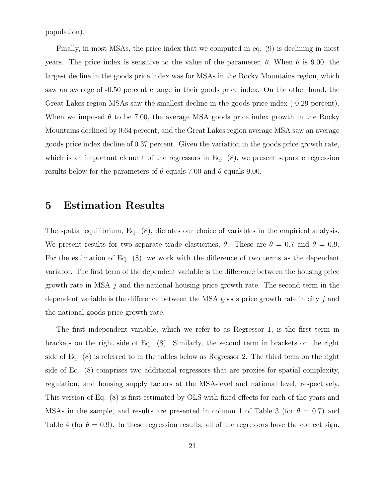population).

Finally, in most MSAs, the price index that we computed in eq. (9) is declining in most years. The price index is sensitive to the value of the parameter,  $\theta$ . When  $\theta$  is 9.00, the largest decline in the goods price index was for MSAs in the Rocky Mountains region, which saw an average of -0.50 percent change in their goods price index. On the other hand, the Great Lakes region MSAs saw the smallest decline in the goods price index (-0.29 percent). When we imposed  $\theta$  to be 7.00, the average MSA goods price index growth in the Rocky Mountains declined by 0.64 percent, and the Great Lakes region average MSA saw an average goods price index decline of 0.37 percent. Given the variation in the goods price growth rate, which is an important element of the regressors in Eq. (8), we present separate regression results below for the parameters of  $\theta$  equals 7.00 and  $\theta$  equals 9.00.

## **5 Estimation Results**

The spatial equilibrium, Eq. (8), dictates our choice of variables in the empirical analysis. We present results for two separate trade elasticities,  $\theta$ . These are  $\theta = 0.7$  and  $\theta = 0.9$ . For the estimation of Eq. (8), we work with the difference of two terms as the dependent variable. The first term of the dependent variable is the difference between the housing price growth rate in MSA *j* and the national housing price growth rate. The second term in the dependent variable is the difference between the MSA goods price growth rate in city *j* and the national goods price growth rate.

The first independent variable, which we refer to as Regressor 1, is the first term in brackets on the right side of Eq. (8). Similarly, the second term in brackets on the right side of Eq. (8) is referred to in the tables below as Regressor 2. The third term on the right side of Eq. (8) comprises two additional regressors that are proxies for spatial complexity, regulation, and housing supply factors at the MSA-level and national level, respectively. This version of Eq. (8) is first estimated by OLS with fixed effects for each of the years and MSAs in the sample, and results are presented in column 1 of Table 3 (for  $\theta = 0.7$ ) and Table 4 (for  $\theta = 0.9$ ). In these regression results, all of the regressors have the correct sign.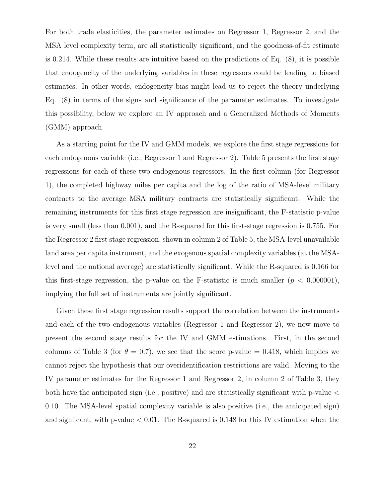For both trade elasticities, the parameter estimates on Regressor 1, Regressor 2, and the MSA level complexity term, are all statistically significant, and the goodness-of-fit estimate is 0.214. While these results are intuitive based on the predictions of Eq. (8), it is possible that endogeneity of the underlying variables in these regressors could be leading to biased estimates. In other words, endogeneity bias might lead us to reject the theory underlying Eq. (8) in terms of the signs and significance of the parameter estimates. To investigate this possibility, below we explore an IV approach and a Generalized Methods of Moments (GMM) approach.

As a starting point for the IV and GMM models, we explore the first stage regressions for each endogenous variable (i.e., Regressor 1 and Regressor 2). Table 5 presents the first stage regressions for each of these two endogenous regressors. In the first column (for Regressor 1), the completed highway miles per capita and the log of the ratio of MSA-level military contracts to the average MSA military contracts are statistically significant. While the remaining instruments for this first stage regression are insignificant, the F-statistic p-value is very small (less than 0.001), and the R-squared for this first-stage regression is 0.755. For the Regressor 2 first stage regression, shown in column 2 of Table 5, the MSA-level unavailable land area per capita instrument, and the exogenous spatial complexity variables (at the MSAlevel and the national average) are statistically significant. While the R-squared is 0.166 for this first-stage regression, the p-value on the F-statistic is much smaller  $(p < 0.000001)$ , implying the full set of instruments are jointly significant.

Given these first stage regression results support the correlation between the instruments and each of the two endogenous variables (Regressor 1 and Regressor 2), we now move to present the second stage results for the IV and GMM estimations. First, in the second columns of Table 3 (for  $\theta = 0.7$ ), we see that the score p-value = 0.418, which implies we cannot reject the hypothesis that our overidentification restrictions are valid. Moving to the IV parameter estimates for the Regressor 1 and Regressor 2, in column 2 of Table 3, they both have the anticipated sign (i.e., positive) and are statistically significant with p-value *<* 0.10. The MSA-level spatial complexity variable is also positive (i.e., the anticipated sign) and signficant, with p-value *<* 0.01. The R-squared is 0.148 for this IV estimation when the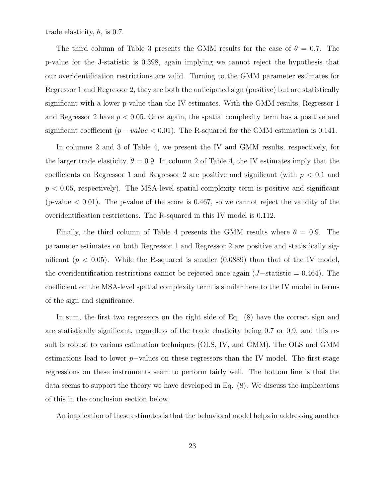trade elasticity,  $\theta$ , is 0.7.

The third column of Table 3 presents the GMM results for the case of  $\theta = 0.7$ . The p-value for the J-statistic is 0.398, again implying we cannot reject the hypothesis that our overidentification restrictions are valid. Turning to the GMM parameter estimates for Regressor 1 and Regressor 2, they are both the anticipated sign (positive) but are statistically significant with a lower p-value than the IV estimates. With the GMM results, Regressor 1 and Regressor 2 have  $p < 0.05$ . Once again, the spatial complexity term has a positive and significant coefficient  $(p - value < 0.01)$ . The R-squared for the GMM estimation is 0.141.

In columns 2 and 3 of Table 4, we present the IV and GMM results, respectively, for the larger trade elasticity,  $\theta = 0.9$ . In column 2 of Table 4, the IV estimates imply that the coefficients on Regressor 1 and Regressor 2 are positive and significant (with  $p < 0.1$  and *p <* 0*.*05, respectively). The MSA-level spatial complexity term is positive and significant (p-value *<* 0.01). The p-value of the score is 0.467, so we cannot reject the validity of the overidentification restrictions. The R-squared in this IV model is 0.112.

Finally, the third column of Table 4 presents the GMM results where  $\theta = 0.9$ . The parameter estimates on both Regressor 1 and Regressor 2 are positive and statistically significant  $(p < 0.05)$ . While the R-squared is smaller  $(0.0889)$  than that of the IV model, the overidentification restrictions cannot be rejected once again (*J−*statistic = 0.464). The coefficient on the MSA-level spatial complexity term is similar here to the IV model in terms of the sign and significance.

In sum, the first two regressors on the right side of Eq. (8) have the correct sign and are statistically significant, regardless of the trade elasticity being 0.7 or 0.9, and this result is robust to various estimation techniques (OLS, IV, and GMM). The OLS and GMM estimations lead to lower *p−*values on these regressors than the IV model. The first stage regressions on these instruments seem to perform fairly well. The bottom line is that the data seems to support the theory we have developed in Eq. (8). We discuss the implications of this in the conclusion section below.

An implication of these estimates is that the behavioral model helps in addressing another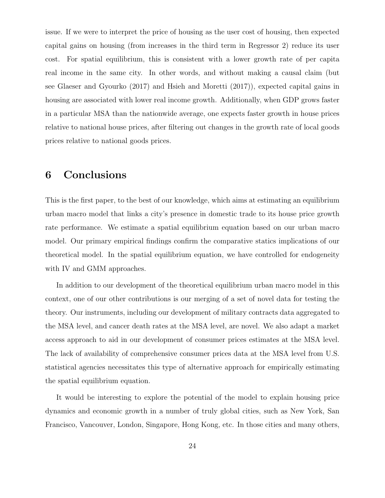issue. If we were to interpret the price of housing as the user cost of housing, then expected capital gains on housing (from increases in the third term in Regressor 2) reduce its user cost. For spatial equilibrium, this is consistent with a lower growth rate of per capita real income in the same city. In other words, and without making a causal claim (but see Glaeser and Gyourko (2017) and Hsieh and Moretti (2017)), expected capital gains in housing are associated with lower real income growth. Additionally, when GDP grows faster in a particular MSA than the nationwide average, one expects faster growth in house prices relative to national house prices, after filtering out changes in the growth rate of local goods prices relative to national goods prices.

# **6 Conclusions**

This is the first paper, to the best of our knowledge, which aims at estimating an equilibrium urban macro model that links a city's presence in domestic trade to its house price growth rate performance. We estimate a spatial equilibrium equation based on our urban macro model. Our primary empirical findings confirm the comparative statics implications of our theoretical model. In the spatial equilibrium equation, we have controlled for endogeneity with IV and GMM approaches.

In addition to our development of the theoretical equilibrium urban macro model in this context, one of our other contributions is our merging of a set of novel data for testing the theory. Our instruments, including our development of military contracts data aggregated to the MSA level, and cancer death rates at the MSA level, are novel. We also adapt a market access approach to aid in our development of consumer prices estimates at the MSA level. The lack of availability of comprehensive consumer prices data at the MSA level from U.S. statistical agencies necessitates this type of alternative approach for empirically estimating the spatial equilibrium equation.

It would be interesting to explore the potential of the model to explain housing price dynamics and economic growth in a number of truly global cities, such as New York, San Francisco, Vancouver, London, Singapore, Hong Kong, etc. In those cities and many others,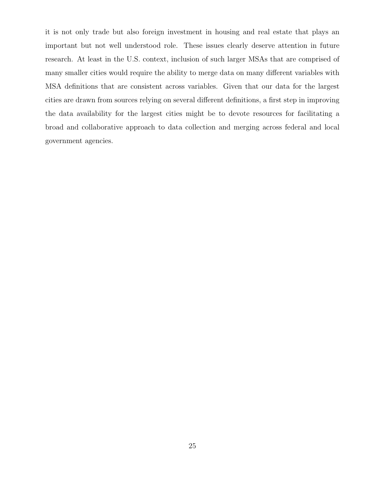it is not only trade but also foreign investment in housing and real estate that plays an important but not well understood role. These issues clearly deserve attention in future research. At least in the U.S. context, inclusion of such larger MSAs that are comprised of many smaller cities would require the ability to merge data on many different variables with MSA definitions that are consistent across variables. Given that our data for the largest cities are drawn from sources relying on several different definitions, a first step in improving the data availability for the largest cities might be to devote resources for facilitating a broad and collaborative approach to data collection and merging across federal and local government agencies.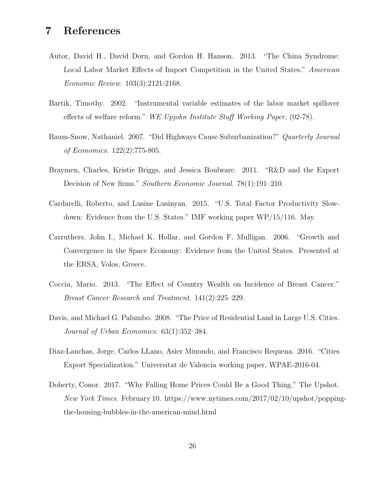# **7 References**

- Autor, David H., David Dorn, and Gordon H. Hanson. 2013. "The China Syndrome: Local Labor Market Effects of Import Competition in the United States." *American Economic Review.* 103(3):2121-2168.
- Bartik, Timothy. 2002. "Instrumental variable estimates of the labor market spillover effects of welfare reform." *WE Upjohn Institute Staff Working Paper,* (02-78).
- Baum-Snow, Nathaniel. 2007. "Did Highways Cause Suburbanization?" *Quarterly Journal of Economics*. 122(2):775-805.
- Braymen, Charles, Kristie Briggs, and Jessica Boulware. 2011. "R&D and the Export Decision of New firms." *Southern Economic Journal*. 78(1):191–210.
- Cardarelli, Roberto, and Lusine Lusinyan. 2015. "U.S. Total Factor Productivity Slowdown: Evidence from the U.S. States." IMF working paper WP/15/116. May.
- Carruthers, John I., Michael K. Hollar, and Gordon F. Mulligan. 2006. "Growth and Convergence in the Space Economy: Evidence from the United States. Presented at the ERSA, Volos, Greece.
- Coccia, Mario. 2013. "The Effect of Country Wealth on Incidence of Breast Cancer." *Breast Cancer Research and Treatment*. 141(2):225–229.
- Davis, and Michael G. Palumbo. 2008. "The Price of Residential Land in Large U.S. Cities. *Journal of Urban Economics.* 63(1):352–384.
- Diaz-Lanchas, Jorge, Carlos LLano, Asier Minondo, and Francisco Requena. 2016. "Cities Export Specialization." Universitat de Valencia working paper, WPAE-2016-04.
- Doherty, Conor. 2017. "Why Falling Home Prices Could Be a Good Thing." The Upshot. *New York Times.* February 10. https://www.nytimes.com/2017/02/10/upshot/poppingthe-housing-bubbles-in-the-american-mind.html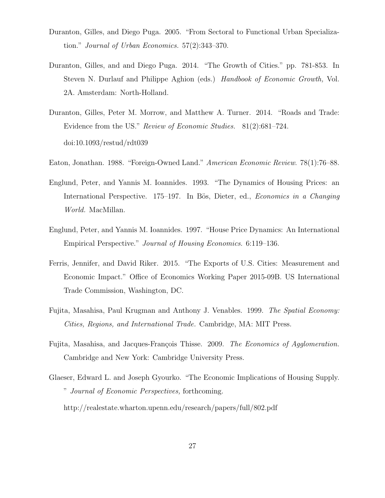- Duranton, Gilles, and Diego Puga. 2005. "From Sectoral to Functional Urban Specialization." *Journal of Urban Economics.* 57(2):343–370.
- Duranton, Gilles, and and Diego Puga. 2014. "The Growth of Cities." pp. 781-853. In Steven N. Durlauf and Philippe Aghion (eds.) *Handbook of Economic Growth,* Vol. 2A. Amsterdam: North-Holland.
- Duranton, Gilles, Peter M. Morrow, and Matthew A. Turner. 2014. "Roads and Trade: Evidence from the US." *Review of Economic Studies.* 81(2):681–724. doi:10.1093/restud/rdt039
- Eaton, Jonathan. 1988. "Foreign-Owned Land." *American Economic Review*. 78(1):76–88.
- Englund, Peter, and Yannis M. Ioannides. 1993. "The Dynamics of Housing Prices: an International Perspective. 175–197. In Bös, Dieter, ed., *Economics in a Changing World.* MacMillan.
- Englund, Peter, and Yannis M. Ioannides. 1997. "House Price Dynamics: An International Empirical Perspective." *Journal of Housing Economics*. 6:119–136.
- Ferris, Jennifer, and David Riker. 2015. "The Exports of U.S. Cities: Measurement and Economic Impact." Office of Economics Working Paper 2015-09B. US International Trade Commission, Washington, DC.
- Fujita, Masahisa, Paul Krugman and Anthony J. Venables. 1999. *The Spatial Economy: Cities, Regions, and International Trade.* Cambridge, MA: MIT Press.
- Fujita, Masahisa, and Jacques-François Thisse. 2009. *The Economics of Agglomeration*. Cambridge and New York: Cambridge University Press.
- Glaeser, Edward L. and Joseph Gyourko. "The Economic Implications of Housing Supply. " *Journal of Economic Perspectives,* forthcoming.

http://realestate.wharton.upenn.edu/research/papers/full/802.pdf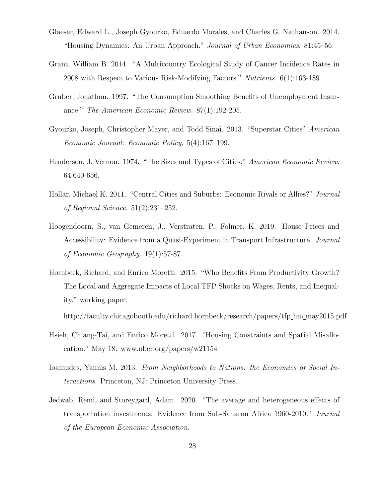- Glaeser, Edward L., Joseph Gyourko, Eduardo Morales, and Charles G. Nathanson. 2014. "Housing Dynamics: An Urban Approach." *Journal of Urban Economics*. 81:45–56.
- Grant, William B. 2014. "A Multicountry Ecological Study of Cancer Incidence Rates in 2008 with Respect to Various Risk-Modifying Factors." *Nutrients*. 6(1):163-189.
- Gruber, Jonathan. 1997. "The Consumption Smoothing Benefits of Unemployment Insurance." *The American Economic Review.* 87(1):192-205.
- Gyourko, Joseph, Christopher Mayer, and Todd Sinai. 2013. "Superstar Cities" *American Economic Journal: Economic Policy*. 5(4):167–199.
- Henderson, J. Vernon. 1974. "The Sizes and Types of Cities." *American Economic Review*. 64:640-656.
- Hollar, Michael K. 2011. "Central Cities and Suburbs: Economic Rivals or Allies?" *Journal of Regional Science*. 51(2):231–252.
- Hoogendoorn, S., van Gemeren, J., Verstraten, P., Folmer, K. 2019. House Prices and Accessibility: Evidence from a Quasi-Experiment in Transport Infrastructure. *Journal of Economic Geography*. 19(1):57-87.
- Hornbeck, Richard, and Enrico Moretti. 2015. "Who Benefits From Productivity Growth? The Local and Aggregate Impacts of Local TFP Shocks on Wages, Rents, and Inequality." working paper.

http://faculty.chicagobooth.edu/richard.hornbeck/research/papers/tfp hm may2015.pdf

- Hsieh, Chiang-Tai, and Enrico Moretti. 2017. "Housing Constraints and Spatial Misallocation." May 18. www.nber.org/papers/w21154
- Ioannides, Yannis M. 2013. *From Neighborhoods to Nations: the Economics of Social Interactions*. Princeton, NJ: Princeton University Press.
- Jedwab, Remi, and Storeygard, Adam. 2020. "The average and heterogeneous effects of transportation investments: Evidence from Sub-Saharan Africa 1960-2010." *Journal of the European Economic Association.*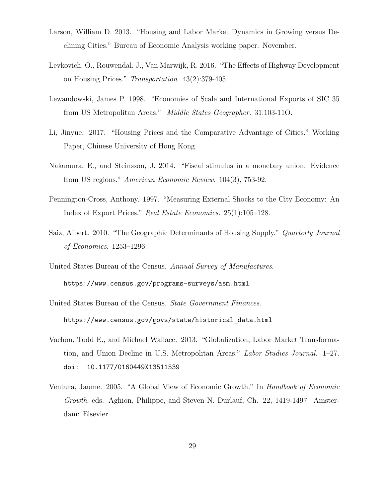- Larson, William D. 2013. "Housing and Labor Market Dynamics in Growing versus Declining Cities." Bureau of Economic Analysis working paper. November.
- Levkovich, O., Rouwendal, J., Van Marwijk, R. 2016. "The Effects of Highway Development on Housing Prices." *Transportation*. 43(2):379-405.
- Lewandowski, James P. 1998. "Economies of Scale and International Exports of SIC 35 from US Metropolitan Areas." *Middle States Geographer.* 31:103-11O.
- Li, Jinyue. 2017. "Housing Prices and the Comparative Advantage of Cities." Working Paper, Chinese University of Hong Kong.
- Nakamura, E., and Steinsson, J. 2014. "Fiscal stimulus in a monetary union: Evidence from US regions." *American Economic Review.* 104(3), 753-92.
- Pennington-Cross, Anthony. 1997. "Measuring External Shocks to the City Economy: An Index of Export Prices." *Real Estate Economics.* 25(1):105–128.
- Saiz, Albert. 2010. "The Geographic Determinants of Housing Supply." *Quarterly Journal of Economics*. 1253–1296.
- United States Bureau of the Census. *Annual Survey of Manufactures*. https://www.census.gov/programs-surveys/asm.html
- United States Bureau of the Census. *State Government Finances.* https://www.census.gov/govs/state/historical data.html
- Vachon, Todd E., and Michael Wallace. 2013. "Globalization, Labor Market Transformation, and Union Decline in U.S. Metropolitan Areas." *Labor Studies Journal.* 1–27. doi: 10.1177/0160449X13511539
- Ventura, Jaume. 2005. "A Global View of Economic Growth." In *Handbook of Economic Growth*, eds. Aghion, Philippe, and Steven N. Durlauf, Ch. 22, 1419-1497. Amsterdam: Elsevier.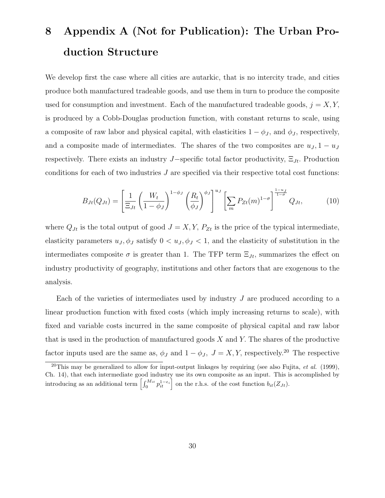# **8 Appendix A (Not for Publication): The Urban Production Structure**

We develop first the case where all cities are autarkic, that is no intercity trade, and cities produce both manufactured tradeable goods, and use them in turn to produce the composite used for consumption and investment. Each of the manufactured tradeable goods,  $j = X, Y$ , is produced by a Cobb-Douglas production function, with constant returns to scale, using a composite of raw labor and physical capital, with elasticities  $1 - \phi_J$ , and  $\phi_J$ , respectively, and a composite made of intermediates. The shares of the two composites are  $u_J$ , 1 *−*  $u_J$ respectively. There exists an industry *J−*specific total factor productivity, Ξ*Jt.* Production conditions for each of two industries *J* are specified via their respective total cost functions:

$$
B_{Jt}(Q_{Jt}) = \left[\frac{1}{\Xi_{Jt}} \left(\frac{W_t}{1-\phi_J}\right)^{1-\phi_J} \left(\frac{R_t}{\phi_J}\right)^{\phi_J}\right]^{u_J} \left[\sum_m P_{Zt}(m)^{1-\sigma}\right]^{\frac{1-u_J}{1-\sigma}} Q_{Jt},\tag{10}
$$

where  $Q_{Jt}$  is the total output of good  $J = X, Y, P_{Zt}$  is the price of the typical intermediate, elasticity parameters  $u_J, \phi_J$  satisfy  $0 < u_J, \phi_J < 1$ , and the elasticity of substitution in the intermediates composite  $\sigma$  is greater than 1. The TFP term  $\Xi_{Jt}$ , summarizes the effect on industry productivity of geography, institutions and other factors that are exogenous to the analysis.

Each of the varieties of intermediates used by industry *J* are produced according to a linear production function with fixed costs (which imply increasing returns to scale), with fixed and variable costs incurred in the same composite of physical capital and raw labor that is used in the production of manufactured goods *X* and *Y.* The shares of the productive factor inputs used are the same as,  $\phi_J$  and  $1 - \phi_J$ ,  $J = X, Y$ , respectively.<sup>20</sup> The respective

<sup>20</sup>This may be generalized to allow for input-output linkages by requiring (see also Fujita, *et al.* (1999), Ch. 14), that each intermediate good industry use its own composite as an input. This is accomplished by introducing as an additional term  $\left[\int_0^{M_{it}} p_{it}^{1-\epsilon_i} \right]$  on the r.h.s. of the cost function  $b_{it}(Z_{Jt})$ .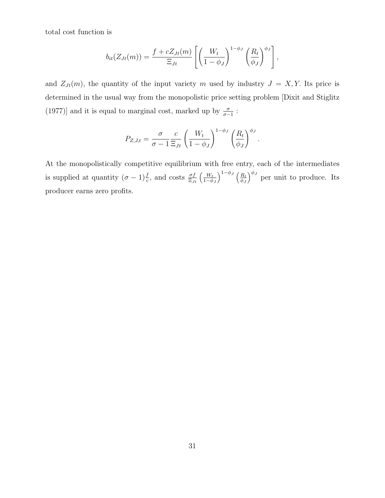total cost function is

$$
b_{it}(Z_{Jt}(m)) = \frac{f + cZ_{Jt}(m)}{\Xi_{Jt}} \left[ \left( \frac{W_t}{1 - \phi_J} \right)^{1 - \phi_J} \left( \frac{R_t}{\phi_J} \right)^{\phi_J} \right],
$$

and  $Z_{Jt}(m)$ , the quantity of the input variety *m* used by industry  $J = X, Y$ . Its price is determined in the usual way from the monopolistic price setting problem [Dixit and Stiglitz (1977)] and it is equal to marginal cost, marked up by  $\frac{\sigma}{\sigma - 1}$ :

$$
P_{Z,J,t} = \frac{\sigma}{\sigma - 1} \frac{c}{\Xi_{Jt}} \left( \frac{W_t}{1 - \phi_J} \right)^{1 - \phi_J} \left( \frac{R_t}{\phi_J} \right)^{\phi_J}.
$$

At the monopolistically competitive equilibrium with free entry, each of the intermediates is supplied at quantity  $(\sigma - 1)\frac{f}{c}$ , and costs  $\frac{\sigma f}{\Xi_{Jt}}\left(\frac{W_t}{1-\phi}\right)$ 1*−ϕ<sup>J</sup>*  $\bigwedge^{1-\phi_J}$  (*R*<sup>t</sup> *ϕ<sup>J</sup>*  $\int_{0}^{\phi_J}$  per unit to produce. Its producer earns zero profits.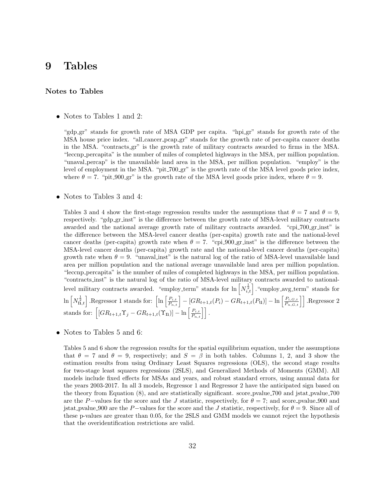## **9 Tables**

#### **Notes to Tables**

• Notes to Tables 1 and 2:

"gdp\_gr" stands for growth rate of MSA GDP per capita. "hpi\_gr" stands for growth rate of the MSA house price index. "all cancer pcap gr" stands for the growth rate of per-capita cancer deaths in the MSA. "contracts gr" is the growth rate of military contracts awarded to firms in the MSA. "leccnp percapita" is the number of miles of completed highways in the MSA, per million population. "unaval percap" is the unavailable land area in the MSA, per million population. "employ" is the level of employment in the MSA. "pit 700 gr" is the growth rate of the MSA level goods price index, where  $\theta = 7$ . "pit 900 gr" is the growth rate of the MSA level goods price index, where  $\theta = 9$ .

#### *•* Notes to Tables 3 and 4:

Tables 3 and 4 show the first-stage regression results under the assumptions that  $\theta = 7$  and  $\theta = 9$ , respectively. "gdp gr inst" is the difference between the growth rate of MSA-level military contracts awarded and the national average growth rate of military contracts awarded. "cpi\_700\_gr\_inst" is the difference between the MSA-level cancer deaths (per-capita) growth rate and the national-level cancer deaths (per-capita) growth rate when  $\theta = 7$ . "cpi-900-gr inst" is the difference between the MSA-level cancer deaths (per-capita) growth rate and the national-level cancer deaths (per-capita) growth rate when  $\theta = 9$ . "unaval inst" is the natural log of the ratio of MSA-level unavailable land area per million population and the national average unavailable land area per million population. "leccnp percapita" is the number of miles of completed highways in the MSA, per million population. "contracts inst" is the natural log of the ratio of MSA-level military contracts awarded to nationallevel military contracts awarded. "employ\_term" stands for  $\ln \left[ N_{i,t}^{\frac{1}{2}} \right]$ . "employ\_avg\_term" stands for  $\ln\left[N_{\mathbf{n},t}^{\frac{1}{2}}\right]$ . Regressor 1 stands for:  $\left[\ln\left[\frac{P_{i,t}}{P_{n,t}}\right] - [GR_{t+1,t}(P_i) - GR_{t+1,t}(P_{\mathbf{u}})] - \ln\left[\frac{P_{i,G,t}}{P_{n,G,t}}\right]\right]$ . Regressor 2 stands for:  $\left[ [GR_{t+1,t}\Upsilon_j - GR_{t+1,t}(\Upsilon_n)] - \ln \left[ \frac{P_{i,t}}{P_{n,t}} \right] \right]$ .

• Notes to Tables 5 and 6:

Tables 5 and 6 show the regression results for the spatial equilibrium equation, under the assumptions that  $\theta = 7$  and  $\theta = 9$ , respectively; and  $S = \beta$  in both tables. Columns 1, 2, and 3 show the estimation results from using Ordinary Least Squares regressions (OLS), the second stage results for two-stage least squares regressions (2SLS), and Generalized Methods of Moments (GMM). All models include fixed effects for MSAs and years, and robust standard errors, using annual data for the years 2003-2017. In all 3 models, Regressor 1 and Regressor 2 have the anticipated sign based on the theory from Equation (8), and are statistically significant. score pvalue 700 and jstat pvalue 700 are the *P*−values for the score and the *J* statistic, respectively, for  $\theta = 7$ ; and score pvalue 900 and jstat\_pvalue 900 are the *P*−values for the score and the *J* statistic, respectively, for  $\theta = 9$ . Since all of these p-values are greater than 0.05, for the 2SLS and GMM models we cannot reject the hypothesis that the overidentification restrictions are valid.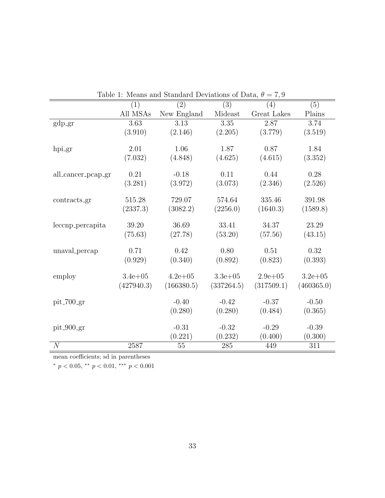|                    | (1)         | (2)         | (3)          | (4)          | (5)         |
|--------------------|-------------|-------------|--------------|--------------|-------------|
|                    | All MSAs    | New England | Mideast      | Great Lakes  | Plains      |
| $gdp-gr$           | 3.63        | 3.13        | 3.35         | 2.87         | 3.74        |
|                    | (3.910)     | (2.146)     | (2.205)      | (3.779)      | (3.519)     |
|                    |             |             |              |              |             |
| hpi_gr             | 2.01        | 1.06        | 1.87         | 0.87         | 1.84        |
|                    | (7.032)     | (4.848)     | (4.625)      | (4.615)      | (3.352)     |
| all_cancer_pcap_gr | 0.21        | $-0.18$     | 0.11         | 0.44         | 0.28        |
|                    | (3.281)     | (3.972)     | (3.073)      | (2.346)      | (2.526)     |
| contracts_gr       | 515.28      | 729.07      | 574.64       | 335.46       | 391.98      |
|                    |             |             |              |              |             |
|                    | (2337.3)    | (3082.2)    | (2256.0)     | (1640.3)     | (1589.8)    |
| leccnp_percapita   | 39.20       | 36.69       | 33.41        | 34.37        | 23.29       |
|                    | (75.63)     | (27.78)     | (53.20)      | (57.56)      | (43.15)     |
| unaval_percap      | 0.71        | 0.42        | 0.80         | 0.51         | 0.32        |
|                    | (0.929)     | (0.340)     | (0.892)      | (0.823)      | (0.393)     |
| employ             | $3.4e + 05$ | $4.2e + 05$ | $3.3e + 0.5$ | $2.9e + 0.5$ | $3.2e + 05$ |
|                    | (427940.3)  | (166380.5)  | (337264.5)   | (317509.1)   | (460365.0)  |
|                    |             |             |              |              |             |
| $pit_{-}700_{-}gr$ |             | $-0.40$     | $-0.42$      | $-0.37$      | $-0.50$     |
|                    |             | (0.280)     | (0.280)      | (0.484)      | (0.365)     |
| $pit_900-gr$       |             | $-0.31$     | $-0.32$      | $-0.29$      | $-0.39$     |
|                    |             | (0.221)     | (0.232)      | (0.400)      | (0.300)     |
| $\overline{N}$     | 2587        | 55          | 285          | 449          | 311         |

Table 1: Means and Standard Deviations of Data,  $\theta = 7.9$ 

mean coefficients; sd in parentheses

*<sup>∗</sup> p <* 0*.*05, *∗∗ p <* 0*.*01, *∗∗∗ p <* 0*.*001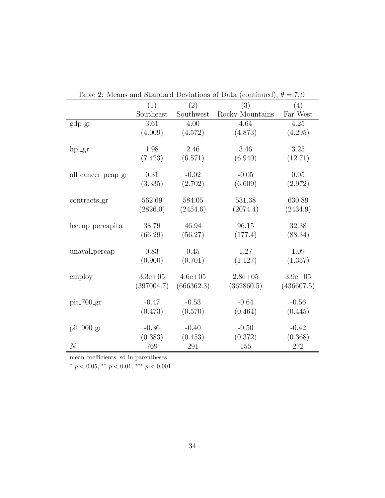|                    | (1)          | (2)         | (3)             | (4)         |
|--------------------|--------------|-------------|-----------------|-------------|
|                    | Southeast    | Southwest   | Rocky Mountains | Far West    |
| $gdp-gr$           | 3.61         | 4.00        | 4.64            | 4.25        |
|                    | (4.009)      | (4.572)     | (4.873)         | (4.295)     |
| hpi_gr             | 1.98         | 2.46        | 3.46            | 3.25        |
|                    | (7.423)      | (6.571)     | (6.940)         | (12.71)     |
| all_cancer_pcap_gr | 0.31         | $-0.02$     | $-0.05$         | 0.05        |
|                    | (3.335)      | (2.702)     | (6.609)         | (2.972)     |
| contracts_gr       | 562.69       | 584.05      | 531.38          | 630.89      |
|                    | (2826.0)     | (2454.6)    | (2074.4)        | (2434.9)    |
| leccnp_percapita   | 38.79        | 46.94       | 96.15           | 32.38       |
|                    | (66.29)      | (56.27)     | (177.4)         | (88.34)     |
| unaval_percap      | 0.83         | 0.45        | 1.27            | 1.09        |
|                    | (0.900)      | (0.701)     | (1.127)         | (1.357)     |
| employ             | $3.3e + 0.5$ | $4.6e + 05$ | $2.8e + 0.5$    | $3.9e + 05$ |
|                    | (397004.7)   | (666362.3)  | (362860.5)      | (436607.5)  |
| $pit_700 gr$       | $-0.47$      | $-0.53$     | $-0.64$         | $-0.56$     |
|                    | (0.473)      | (0.570)     | (0.464)         | (0.445)     |
| $pit_900 gr$       | $-0.36$      | $-0.40$     | $-0.50$         | $-0.42$     |
|                    | (0.383)      | (0.453)     | (0.372)         | (0.368)     |
| $\mathcal{N}$      | 769          | 291         | 155             | 272         |

| Table 2: Means and Standard Deviations of Data (continued), $\theta = 7.9$ |  |
|----------------------------------------------------------------------------|--|
|----------------------------------------------------------------------------|--|

mean coefficients; sd in parentheses

*<sup>∗</sup> p <* 0*.*05, *∗∗ p <* 0*.*01, *∗∗∗ p <* 0*.*001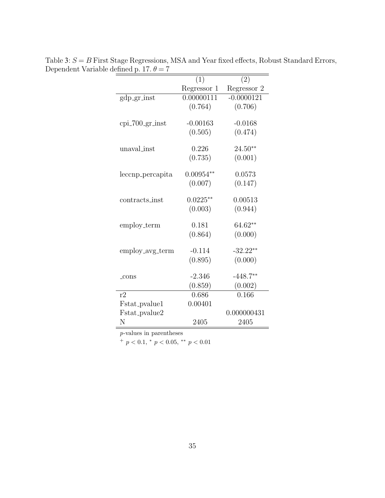|                    | (1)         | (2)          |
|--------------------|-------------|--------------|
|                    | Regressor 1 | Regressor 2  |
| gdp_gr_inst        | 0.00000111  | $-0.0000121$ |
|                    | (0.764)     | (0.706)      |
|                    |             |              |
| $cpi$ -700-gr-inst | $-0.00163$  | $-0.0168$    |
|                    | (0.505)     | (0.474)      |
| unaval_inst        | 0.226       | $24.50**$    |
|                    |             |              |
|                    | (0.735)     | (0.001)      |
| leccnp_percapita   | $0.00954**$ | 0.0573       |
|                    | (0.007)     | (0.147)      |
|                    |             |              |
| contracts_inst     | $0.0225**$  | 0.00513      |
|                    | (0.003)     | (0.944)      |
|                    |             |              |
| employ_term        | 0.181       | $64.62**$    |
|                    | (0.864)     | (0.000)      |
|                    |             |              |
| employ_avg_term    | $-0.114$    | $-32.22**$   |
|                    | (0.895)     | (0.000)      |
|                    | $-2.346$    | $-448.7**$   |
| $_{\rm cons}$      |             |              |
|                    | (0.859)     | (0.002)      |
| r2                 | 0.686       | 0.166        |
| Fstat_pvalue1      | 0.00401     |              |
| Fstat_pvalue2      |             | 0.000000431  |
| N                  | 2405        | 2405         |

Table 3: *S* = *B* First Stage Regressions, MSA and Year fixed effects, Robust Standard Errors, Dependent Variable defined p. 17.  $\theta = 7$ 

 $+p < 0.1, *p < 0.05, **p < 0.01$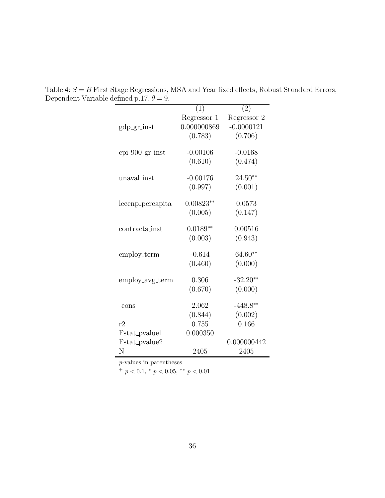|                   | (1)         | (2)          |
|-------------------|-------------|--------------|
|                   | Regressor 1 | Regressor 2  |
| gdp_gr_inst       | 0.000000869 | $-0.0000121$ |
|                   | (0.783)     | (0.706)      |
|                   |             |              |
| $cpi_900-gr_inst$ | $-0.00106$  | $-0.0168$    |
|                   | (0.610)     | (0.474)      |
| unaval_inst       | $-0.00176$  | $24.50**$    |
|                   | (0.997)     | (0.001)      |
|                   |             |              |
| leccnp_percapita  | $0.00823**$ | 0.0573       |
|                   | (0.005)     | (0.147)      |
|                   |             |              |
| contracts_inst    | $0.0189**$  | 0.00516      |
|                   | (0.003)     | (0.943)      |
|                   | $-0.614$    | $64.60**$    |
| employ_term       |             |              |
|                   | (0.460)     | (0.000)      |
| employ_avg_term   | 0.306       | $-32.20**$   |
|                   | (0.670)     | (0.000)      |
|                   |             |              |
| $_{\rm cons}$     | 2.062       | $-448.8**$   |
|                   | (0.844)     | (0.002)      |
| r2                | 0.755       | 0.166        |
| Fstat_pvalue1     | 0.000350    |              |
| Fstat_pvalue2     |             | 0.000000442  |
| N                 | 2405        | 2405         |

Table 4: *S* = *B* First Stage Regressions, MSA and Year fixed effects, Robust Standard Errors, Dependent Variable defined p.17.  $\theta = 9$ .  $=$ 

 $^{+}$   $p$   $<$  0.1,  $^{*}$   $p$   $<$  0.05,  $^{**}$   $p$   $<$  0.01  $\,$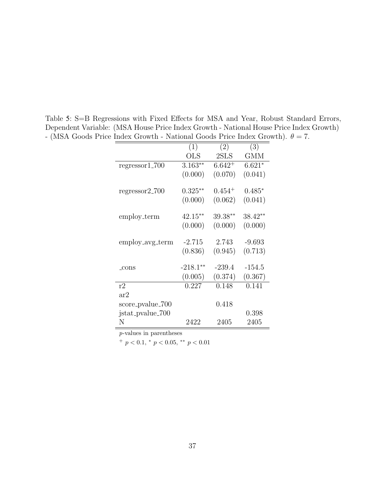|                  | (1)        | (2)         | (3)       |
|------------------|------------|-------------|-----------|
|                  | <b>OLS</b> | 2SLS        | GMM       |
| $regressor1_700$ | $3.163**$  | $6.642^{+}$ | $6.621*$  |
|                  | (0.000)    | (0.070)     | (0.041)   |
| $regressor2_700$ | $0.325**$  | $0.454^{+}$ | $0.485*$  |
|                  | (0.000)    | (0.062)     | (0.041)   |
| employ_term      | $42.15***$ | 39.38**     | $38.42**$ |
|                  | (0.000)    | (0.000)     | (0.000)   |
| employ_avg_term  | $-2.715$   | 2.743       | $-9.693$  |
|                  | (0.836)    | (0.945)     | (0.713)   |
| _cons            | $-218.1**$ | $-239.4$    | $-154.5$  |
|                  | (0.005)    | (0.374)     | (0.367)   |
| r2               | 0.227      | 0.148       | 0.141     |
| ar2              |            |             |           |
| score_pvalue_700 |            | 0.418       |           |
| jstat_pvalue_700 |            |             | 0.398     |
| Ν                | 2422       | 2405        | 2405      |

Table 5: S=B Regressions with Fixed Effects for MSA and Year, Robust Standard Errors, Dependent Variable: (MSA House Price Index Growth - National House Price Index Growth) - (MSA Goods Price Index Growth - National Goods Price Index Growth).  $\theta = 7$ .

<sup>+</sup> *p <* 0*.*1, *<sup>∗</sup> p <* 0*.*05, *∗∗ p <* 0*.*01